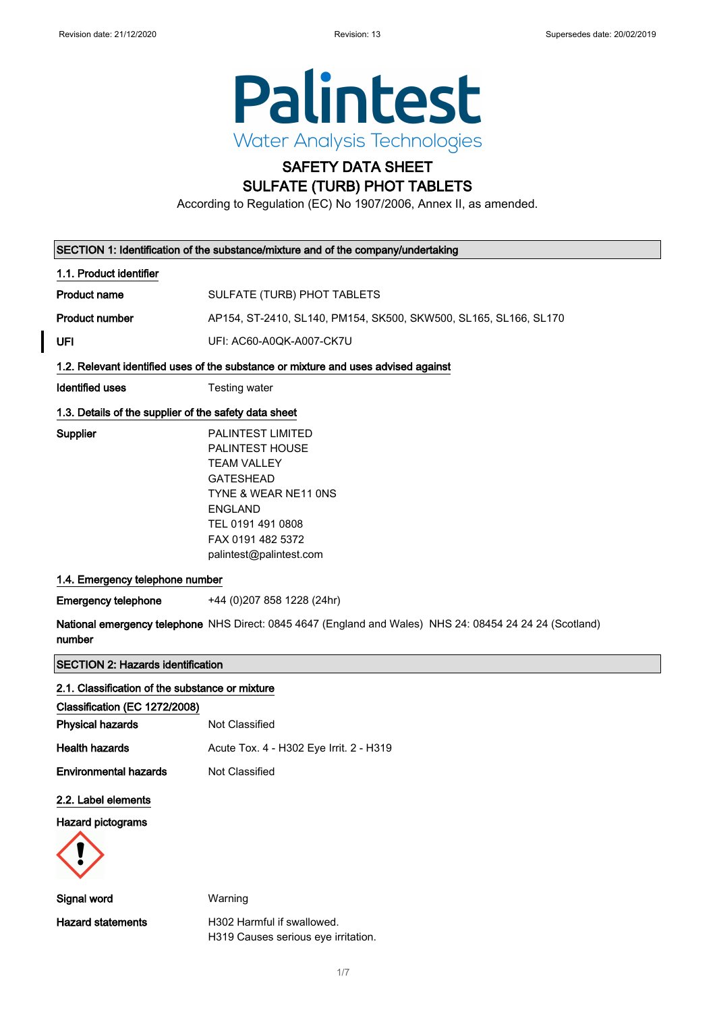

# SAFETY DATA SHEET

# SULFATE (TURB) PHOT TABLETS

According to Regulation (EC) No 1907/2006, Annex II, as amended.

|                                                       | SECTION 1: Identification of the substance/mixture and of the company/undertaking                                                                                                             |
|-------------------------------------------------------|-----------------------------------------------------------------------------------------------------------------------------------------------------------------------------------------------|
| 1.1. Product identifier                               |                                                                                                                                                                                               |
| <b>Product name</b>                                   | SULFATE (TURB) PHOT TABLETS                                                                                                                                                                   |
| <b>Product number</b>                                 | AP154, ST-2410, SL140, PM154, SK500, SKW500, SL165, SL166, SL170                                                                                                                              |
| UFI                                                   | UFI: AC60-A0QK-A007-CK7U                                                                                                                                                                      |
|                                                       | 1.2. Relevant identified uses of the substance or mixture and uses advised against                                                                                                            |
| <b>Identified uses</b>                                | Testing water                                                                                                                                                                                 |
| 1.3. Details of the supplier of the safety data sheet |                                                                                                                                                                                               |
| <b>Supplier</b>                                       | PALINTEST LIMITED<br>PALINTEST HOUSE<br><b>TEAM VALLEY</b><br><b>GATESHEAD</b><br>TYNE & WEAR NE11 ONS<br><b>ENGLAND</b><br>TEL 0191 491 0808<br>FAX 0191 482 5372<br>palintest@palintest.com |
| 1.4. Emergency telephone number                       |                                                                                                                                                                                               |
| <b>Emergency telephone</b>                            | +44 (0)207 858 1228 (24hr)                                                                                                                                                                    |
| number                                                | National emergency telephone NHS Direct: 0845 4647 (England and Wales) NHS 24: 08454 24 24 24 (Scotland)                                                                                      |
| <b>SECTION 2: Hazards identification</b>              |                                                                                                                                                                                               |
| 2.1. Classification of the substance or mixture       |                                                                                                                                                                                               |
| Classification (EC 1272/2008)                         |                                                                                                                                                                                               |
| <b>Physical hazards</b>                               | Not Classified                                                                                                                                                                                |
| <b>Health hazards</b>                                 | Acute Tox. 4 - H302 Eye Irrit. 2 - H319                                                                                                                                                       |
| <b>Environmental hazards</b>                          | Not Classified                                                                                                                                                                                |
| 2.2. Label elements                                   |                                                                                                                                                                                               |
| Hazard pictograms                                     |                                                                                                                                                                                               |
| <b>Signal word</b>                                    | Warning                                                                                                                                                                                       |

Hazard statements **H302 Harmful if swallowed.** 

H319 Causes serious eye irritation.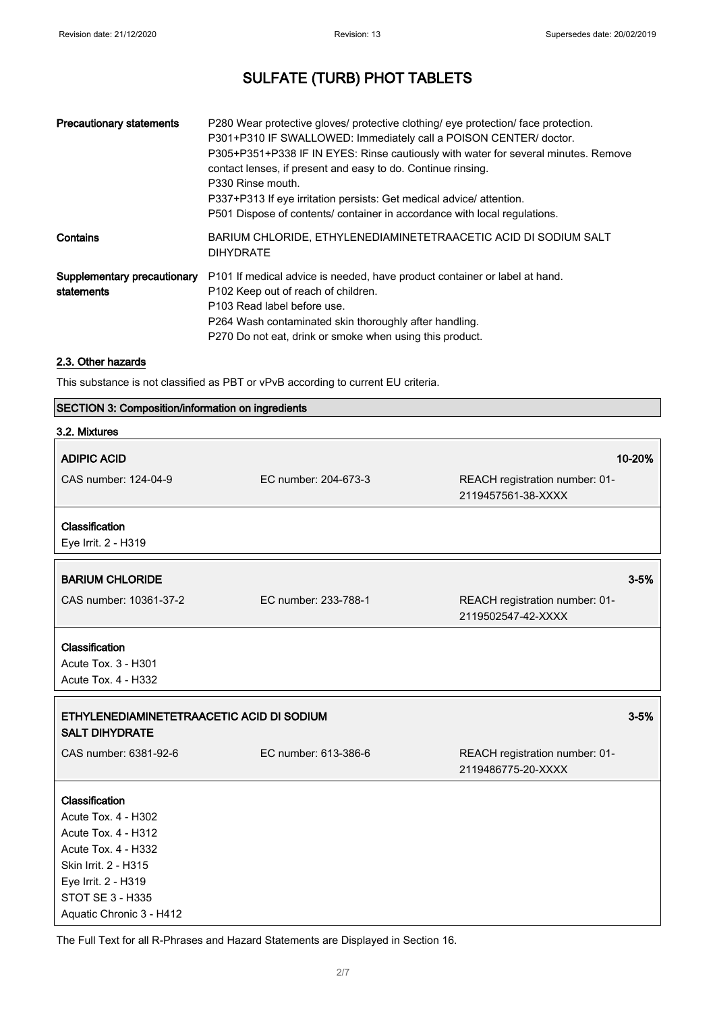| <b>Precautionary statements</b> | P280 Wear protective gloves/ protective clothing/ eye protection/ face protection.<br>P301+P310 IF SWALLOWED: Immediately call a POISON CENTER/ doctor.<br>P305+P351+P338 IF IN EYES: Rinse cautiously with water for several minutes. Remove<br>contact lenses, if present and easy to do. Continue rinsing.<br>P330 Rinse mouth.<br>P337+P313 If eye irritation persists: Get medical advice/attention.<br>P501 Dispose of contents/ container in accordance with local regulations. |
|---------------------------------|----------------------------------------------------------------------------------------------------------------------------------------------------------------------------------------------------------------------------------------------------------------------------------------------------------------------------------------------------------------------------------------------------------------------------------------------------------------------------------------|
| Contains                        | BARIUM CHLORIDE, ETHYLENEDIAMINETETRAACETIC ACID DI SODIUM SALT<br><b>DIHYDRATE</b>                                                                                                                                                                                                                                                                                                                                                                                                    |
| statements                      | Supplementary precautionary P101 If medical advice is needed, have product container or label at hand.<br>P102 Keep out of reach of children.<br>P103 Read label before use.<br>P264 Wash contaminated skin thoroughly after handling.<br>P270 Do not eat, drink or smoke when using this product.                                                                                                                                                                                     |

## 2.3. Other hazards

This substance is not classified as PBT or vPvB according to current EU criteria.

|  | <b>SECTION 3: Composition/information on ingredients</b> |  |  |
|--|----------------------------------------------------------|--|--|
|--|----------------------------------------------------------|--|--|

| 3.2. Mixtures                                                      |                      |                                                      |          |
|--------------------------------------------------------------------|----------------------|------------------------------------------------------|----------|
| <b>ADIPIC ACID</b>                                                 |                      |                                                      | 10-20%   |
| CAS number: 124-04-9                                               | EC number: 204-673-3 | REACH registration number: 01-<br>2119457561-38-XXXX |          |
| Classification<br>Eye Irrit. 2 - H319                              |                      |                                                      |          |
| <b>BARIUM CHLORIDE</b>                                             |                      |                                                      | $3 - 5%$ |
| CAS number: 10361-37-2                                             | EC number: 233-788-1 | REACH registration number: 01-<br>2119502547-42-XXXX |          |
| Classification                                                     |                      |                                                      |          |
| Acute Tox. 3 - H301                                                |                      |                                                      |          |
| Acute Tox. 4 - H332                                                |                      |                                                      |          |
| ETHYLENEDIAMINETETRAACETIC ACID DI SODIUM<br><b>SALT DIHYDRATE</b> |                      |                                                      | $3 - 5%$ |
| CAS number: 6381-92-6                                              | EC number: 613-386-6 | REACH registration number: 01-<br>2119486775-20-XXXX |          |
| Classification                                                     |                      |                                                      |          |
| Acute Tox. 4 - H302                                                |                      |                                                      |          |
| <b>Acute Tox. 4 - H312</b>                                         |                      |                                                      |          |
| Acute Tox. 4 - H332                                                |                      |                                                      |          |
| Skin Irrit. 2 - H315                                               |                      |                                                      |          |
| Eye Irrit. 2 - H319                                                |                      |                                                      |          |
| <b>STOT SE 3 - H335</b><br>Aquatic Chronic 3 - H412                |                      |                                                      |          |

The Full Text for all R-Phrases and Hazard Statements are Displayed in Section 16.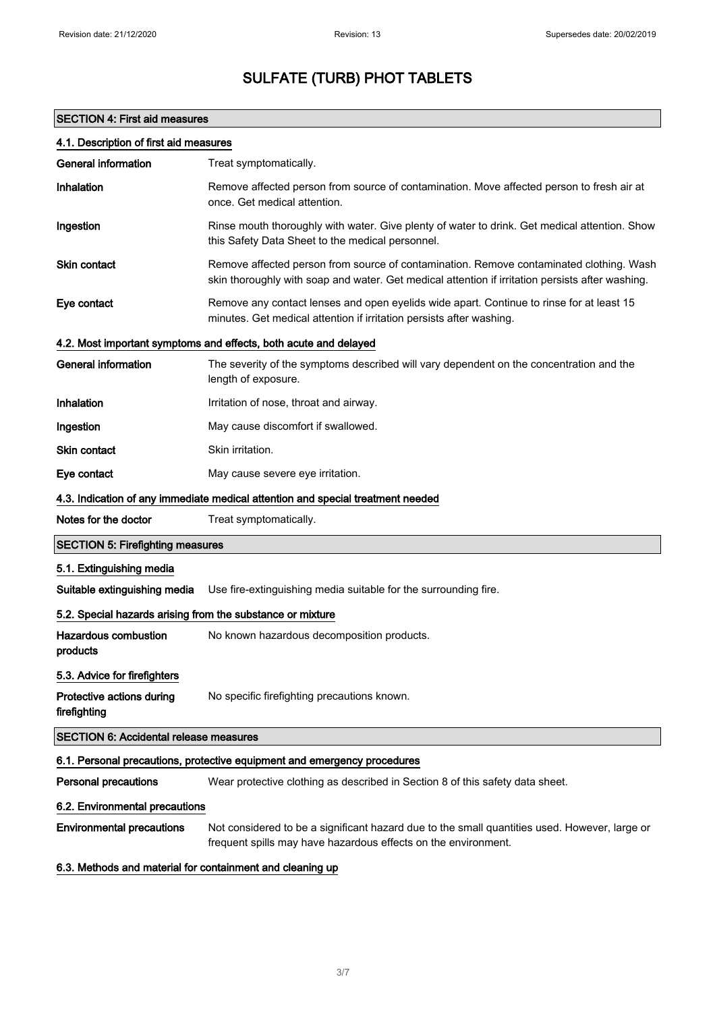## SECTION 4: First aid measures

| 4.1. Description of first aid measures                     |                                                                                                                                                                                             |  |
|------------------------------------------------------------|---------------------------------------------------------------------------------------------------------------------------------------------------------------------------------------------|--|
| <b>General information</b>                                 | Treat symptomatically.                                                                                                                                                                      |  |
| Inhalation                                                 | Remove affected person from source of contamination. Move affected person to fresh air at<br>once. Get medical attention.                                                                   |  |
| Ingestion                                                  | Rinse mouth thoroughly with water. Give plenty of water to drink. Get medical attention. Show<br>this Safety Data Sheet to the medical personnel.                                           |  |
| <b>Skin contact</b>                                        | Remove affected person from source of contamination. Remove contaminated clothing. Wash<br>skin thoroughly with soap and water. Get medical attention if irritation persists after washing. |  |
| Eye contact                                                | Remove any contact lenses and open eyelids wide apart. Continue to rinse for at least 15<br>minutes. Get medical attention if irritation persists after washing.                            |  |
|                                                            | 4.2. Most important symptoms and effects, both acute and delayed                                                                                                                            |  |
| <b>General information</b>                                 | The severity of the symptoms described will vary dependent on the concentration and the<br>length of exposure.                                                                              |  |
| Inhalation                                                 | Irritation of nose, throat and airway.                                                                                                                                                      |  |
| Ingestion                                                  | May cause discomfort if swallowed.                                                                                                                                                          |  |
| <b>Skin contact</b>                                        | Skin irritation.                                                                                                                                                                            |  |
| Eye contact                                                | May cause severe eye irritation.                                                                                                                                                            |  |
|                                                            | 4.3. Indication of any immediate medical attention and special treatment needed                                                                                                             |  |
| Notes for the doctor                                       | Treat symptomatically.                                                                                                                                                                      |  |
| <b>SECTION 5: Firefighting measures</b>                    |                                                                                                                                                                                             |  |
| 5.1. Extinguishing media                                   |                                                                                                                                                                                             |  |
| Suitable extinguishing media                               | Use fire-extinguishing media suitable for the surrounding fire.                                                                                                                             |  |
| 5.2. Special hazards arising from the substance or mixture |                                                                                                                                                                                             |  |
| <b>Hazardous combustion</b><br>products                    | No known hazardous decomposition products.                                                                                                                                                  |  |
| 5.3. Advice for firefighters                               |                                                                                                                                                                                             |  |
| Protective actions during<br>firefighting                  | No specific firefighting precautions known.                                                                                                                                                 |  |
| <b>SECTION 6: Accidental release measures</b>              |                                                                                                                                                                                             |  |
|                                                            | 6.1. Personal precautions, protective equipment and emergency procedures                                                                                                                    |  |
| <b>Personal precautions</b>                                | Wear protective clothing as described in Section 8 of this safety data sheet.                                                                                                               |  |
| 6.2. Environmental precautions                             |                                                                                                                                                                                             |  |
| <b>Environmental precautions</b>                           | Not considered to be a significant hazard due to the small quantities used. However, large or<br>frequent spills may have hazardous effects on the environment.                             |  |

## 6.3. Methods and material for containment and cleaning up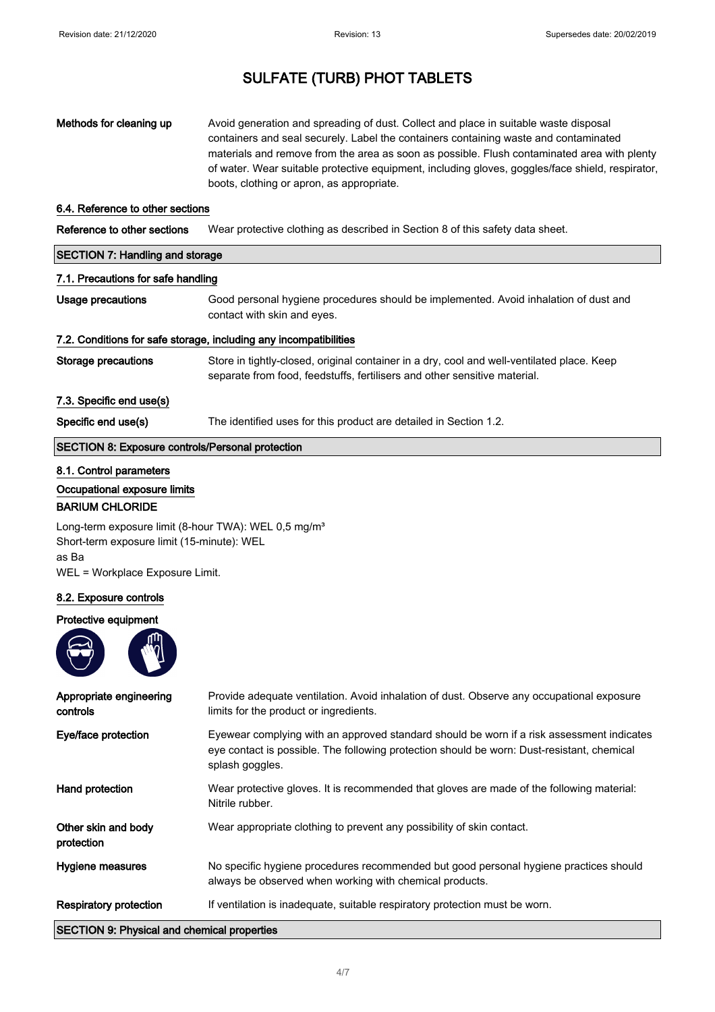| Methods for cleaning up | Avoid generation and spreading of dust. Collect and place in suitable waste disposal             |
|-------------------------|--------------------------------------------------------------------------------------------------|
|                         | containers and seal securely. Label the containers containing waste and contaminated             |
|                         | materials and remove from the area as soon as possible. Flush contaminated area with plenty      |
|                         | of water. Wear suitable protective equipment, including gloves, goggles/face shield, respirator, |
|                         | boots, clothing or apron, as appropriate.                                                        |

### 6.4. Reference to other sections

Reference to other sections Wear protective clothing as described in Section 8 of this safety data sheet.

| <b>SECTION 7: Handling and storage</b>                            |                                                                                                                                                                         |  |
|-------------------------------------------------------------------|-------------------------------------------------------------------------------------------------------------------------------------------------------------------------|--|
| 7.1. Precautions for safe handling                                |                                                                                                                                                                         |  |
| Usage precautions                                                 | Good personal hygiene procedures should be implemented. Avoid inhalation of dust and<br>contact with skin and eyes.                                                     |  |
| 7.2. Conditions for safe storage, including any incompatibilities |                                                                                                                                                                         |  |
| <b>Storage precautions</b>                                        | Store in tightly-closed, original container in a dry, cool and well-ventilated place. Keep<br>separate from food, feedstuffs, fertilisers and other sensitive material. |  |
| 7.3. Specific end use(s)                                          |                                                                                                                                                                         |  |
| Specific end use(s)                                               | The identified uses for this product are detailed in Section 1.2.                                                                                                       |  |
| SECTION 8: Exposure controls/Personal protection                  |                                                                                                                                                                         |  |

## 8.1. Control parameters

### Occupational exposure limits

### BARIUM CHLORIDE

Long-term exposure limit (8-hour TWA): WEL 0,5 mg/m<sup>3</sup> Short-term exposure limit (15-minute): WEL as Ba WEL = Workplace Exposure Limit.

### 8.2. Exposure controls

### Protective equipment



| Appropriate engineering<br>controls                | Provide adequate ventilation. Avoid inhalation of dust. Observe any occupational exposure<br>limits for the product or ingredients.                                                                        |
|----------------------------------------------------|------------------------------------------------------------------------------------------------------------------------------------------------------------------------------------------------------------|
| Eye/face protection                                | Eyewear complying with an approved standard should be worn if a risk assessment indicates<br>eye contact is possible. The following protection should be worn: Dust-resistant, chemical<br>splash goggles. |
| Hand protection                                    | Wear protective gloves. It is recommended that gloves are made of the following material:<br>Nitrile rubber.                                                                                               |
| Other skin and body<br>protection                  | Wear appropriate clothing to prevent any possibility of skin contact.                                                                                                                                      |
| Hygiene measures                                   | No specific hygiene procedures recommended but good personal hygiene practices should<br>always be observed when working with chemical products.                                                           |
| <b>Respiratory protection</b>                      | If ventilation is inadequate, suitable respiratory protection must be worn.                                                                                                                                |
| <b>SECTION 9: Physical and chemical properties</b> |                                                                                                                                                                                                            |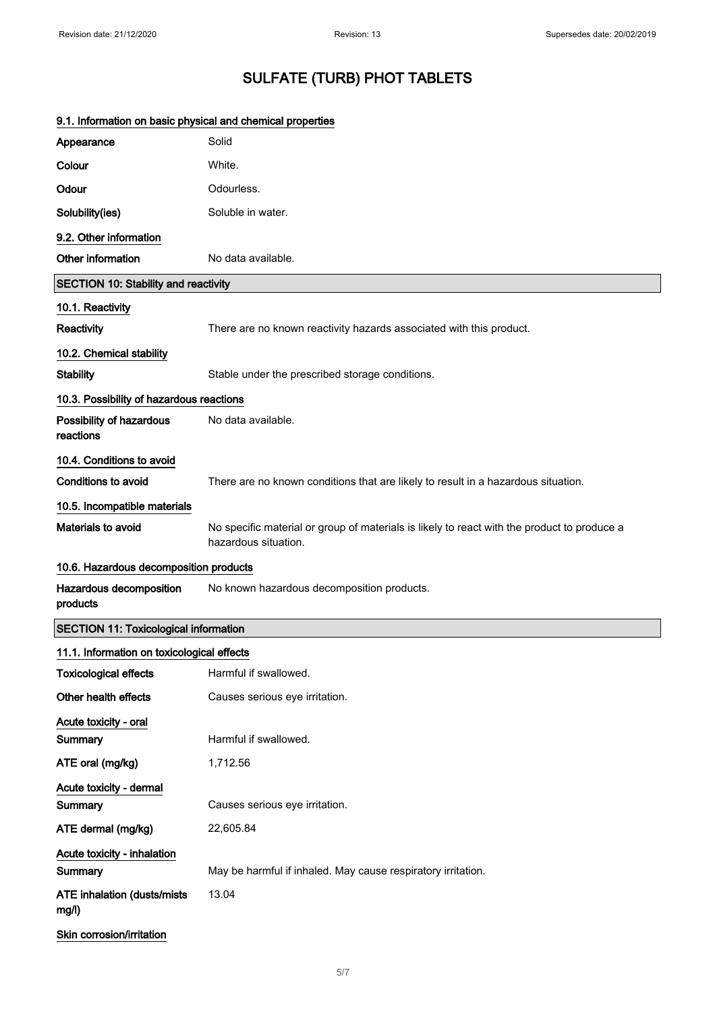## 9.1. Information on basic physical and chemical properties Appearance Solid Colour White. Odour Odourless. Solubility(ies) Soluble in water. 9.2. Other information Other information No data available. SECTION 10: Stability and reactivity 10.1. Reactivity Reactivity **Reactivity** There are no known reactivity hazards associated with this product. 10.2. Chemical stability Stability Stable under the prescribed storage conditions. 10.3. Possibility of hazardous reactions Possibility of hazardous reactions No data available. 10.4. Conditions to avoid Conditions to avoid There are no known conditions that are likely to result in a hazardous situation. 10.5. Incompatible materials Materials to avoid No specific material or group of materials is likely to react with the product to produce a hazardous situation. 10.6. Hazardous decomposition products Hazardous decomposition products No known hazardous decomposition products. SECTION 11: Toxicological information 11.1. Information on toxicological effects Toxicological effects Harmful if swallowed. Other health effects Causes serious eye irritation. Acute toxicity - oral Summary **Harmful if swallowed.** ATE oral (mg/kg) 1,712.56 Acute toxicity - dermal Summary **Causes serious eye irritation.** ATE dermal (mg/kg) 22,605.84 Acute toxicity - inhalation Summary **May be harmful if inhaled. May cause respiratory irritation.** ATE inhalation (dusts/mists mg/l) 13.04 Skin corrosion/irritation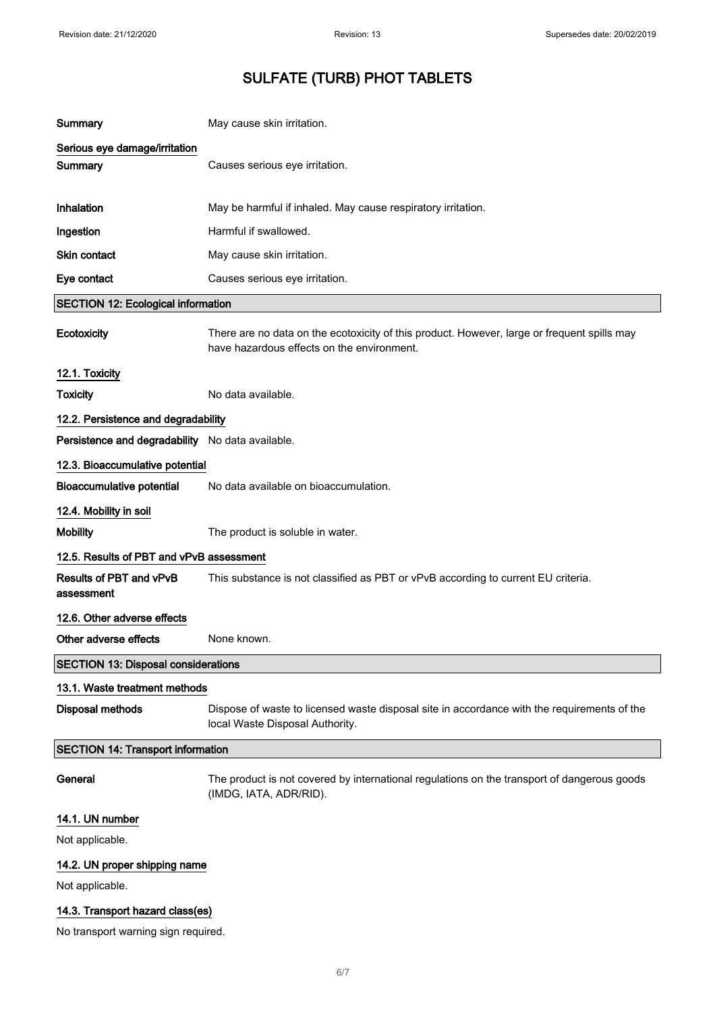| Summary                                          | May cause skin irritation.                                                                                                                |  |
|--------------------------------------------------|-------------------------------------------------------------------------------------------------------------------------------------------|--|
| Serious eye damage/irritation<br>Summary         | Causes serious eye irritation.                                                                                                            |  |
| Inhalation                                       | May be harmful if inhaled. May cause respiratory irritation.                                                                              |  |
| Ingestion                                        | Harmful if swallowed.                                                                                                                     |  |
| Skin contact                                     | May cause skin irritation.                                                                                                                |  |
| Eye contact                                      | Causes serious eye irritation.                                                                                                            |  |
| <b>SECTION 12: Ecological information</b>        |                                                                                                                                           |  |
| Ecotoxicity                                      | There are no data on the ecotoxicity of this product. However, large or frequent spills may<br>have hazardous effects on the environment. |  |
| 12.1. Toxicity                                   |                                                                                                                                           |  |
| <b>Toxicity</b>                                  | No data available.                                                                                                                        |  |
| 12.2. Persistence and degradability              |                                                                                                                                           |  |
| Persistence and degradability No data available. |                                                                                                                                           |  |
| 12.3. Bioaccumulative potential                  |                                                                                                                                           |  |
| <b>Bioaccumulative potential</b>                 | No data available on bioaccumulation.                                                                                                     |  |
| 12.4. Mobility in soil                           |                                                                                                                                           |  |
| <b>Mobility</b>                                  | The product is soluble in water.                                                                                                          |  |
| 12.5. Results of PBT and vPvB assessment         |                                                                                                                                           |  |
| Results of PBT and vPvB<br>assessment            | This substance is not classified as PBT or vPvB according to current EU criteria.                                                         |  |
| 12.6. Other adverse effects                      |                                                                                                                                           |  |
| Other adverse effects                            | None known.                                                                                                                               |  |
| <b>SECTION 13: Disposal considerations</b>       |                                                                                                                                           |  |
| 13.1. Waste treatment methods                    |                                                                                                                                           |  |
| <b>Disposal methods</b>                          | Dispose of waste to licensed waste disposal site in accordance with the requirements of the<br>local Waste Disposal Authority.            |  |
| <b>SECTION 14: Transport information</b>         |                                                                                                                                           |  |
| General                                          | The product is not covered by international regulations on the transport of dangerous goods<br>(IMDG, IATA, ADR/RID).                     |  |
| 14.1. UN number                                  |                                                                                                                                           |  |
| Not applicable.                                  |                                                                                                                                           |  |
| 14.2. UN proper shipping name                    |                                                                                                                                           |  |
| Not applicable.                                  |                                                                                                                                           |  |
| 14.3. Transport hazard class(es)                 |                                                                                                                                           |  |
| No transport warning sign required.              |                                                                                                                                           |  |